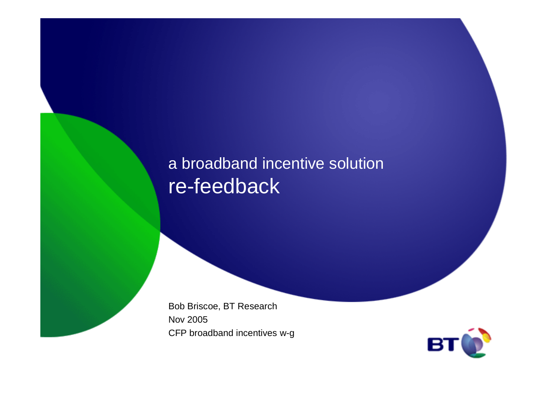#### a broadband incentive solutionre-feedback

Bob Briscoe, BT ResearchNov 2005CFP broadband incentives w-g

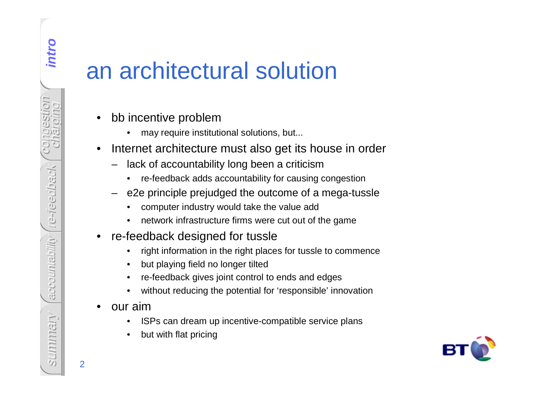# an architectural solution

- • bb incentive problem
	- •may require institutional solutions, but...
- • Internet architecture must also get its house in order
	- – lack of accountability long been a criticism
		- re-feedback adds accountability for causing congestion•
	- – e2e principle prejudged the outcome of a mega-tussle
		- •computer industry would take the value add
		- network infrastructure firms were cut out of the game•
- • re-feedback designed for tussle
	- right information in the right places for tussle to commence•
	- •but playing field no longer tilted
	- •re-feedback gives joint control to ends and edges
	- •without reducing the potential for 'responsible' innovation
- • our aim
	- ISPs can dream up incentive-compatible service plans•
	- •but with flat pricing



**intro**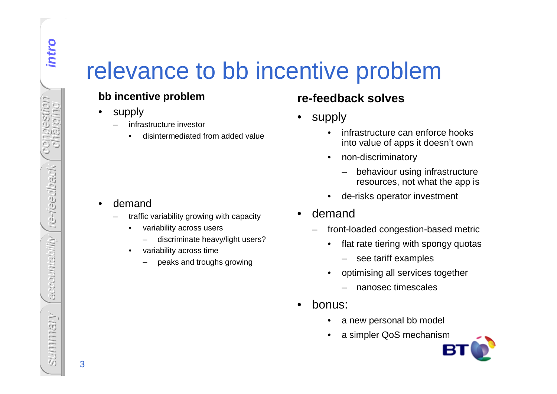# relevance to bb incentive problem

#### **bb incentive problem**

- • supply
	- infrastructure investor–
		- •disintermediated from added value

#### •demand

- traffic variability growing with capacity–
	- • variability across users
		- discriminate heavy/light users?
	- • variability across time
		- peaks and troughs growing

#### **re-feedback solves**

- • supply
	- • infrastructure can enforce hooks into value of apps it doesn't own
	- • non-discriminatory
		- behaviour using infrastructure resources, not what the app is
	- •de-risks operator investment
- • demand
	- front-loaded congestion-based metric–
		- $\bullet$  flat rate tiering with spongy quotas
			- see tariff examples
		- • optimising all services together
			- nanosec timescales
- • bonus:
	- •a new personal bb model
	- •a simpler QoS mechanism



intro

**intro**

3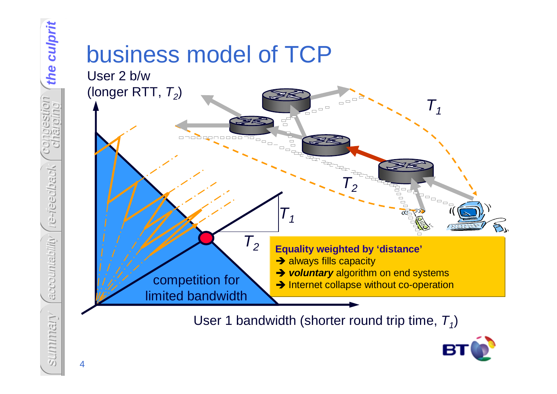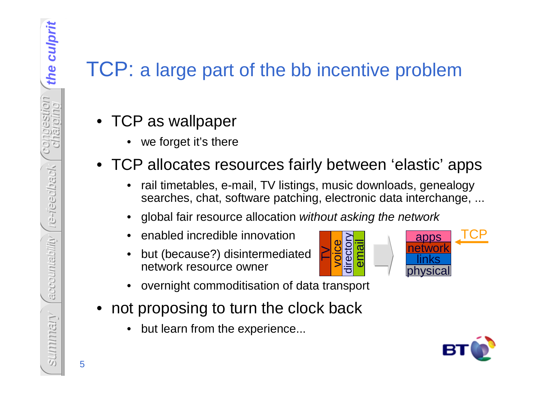### TCP: a large part of the bb incentive problem

- TCP as wallpaper
	- •we forget it's there
- TCP allocates resources fairly between 'elastic' apps
	- • rail timetables, e-mail, TV listings, music downloads, genealogy searches, chat, software patching, electronic data interchange, ...

 $\ge$ 

- •global fair resource allocation without asking the network
- •enabled incredible innovation
- • but (because?) disintermediatednetwork resource owner
- •overnight commoditisation of data transport
- not proposing to turn the clock back
	- •but learn from the experience...





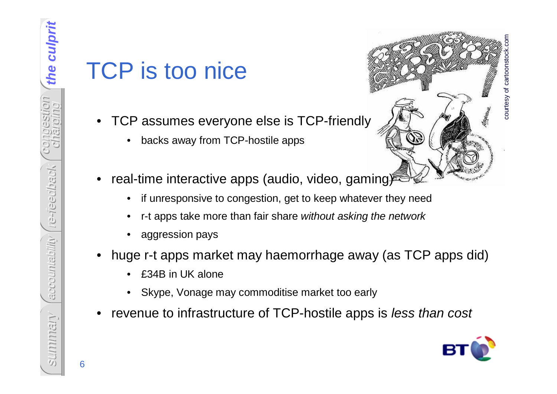# TCP is too nice

- • TCP assumes everyone else is TCP-friendly
	- •backs away from TCP-hostile apps
- •real-time interactive apps (audio, video, gaming)<sup>®</sup>
	- •if unresponsive to congestion, get to keep whatever they need
	- •r-t apps take more than fair share without asking the network
	- •aggression pays
- • huge r-t apps market may haemorrhage away (as TCP apps did)
	- •£34B in UK alone
	- •Skype, Vonage may commoditise market too early
- •revenue to infrastructure of TCP-hostile apps is less than cost



courtesy of cartoonstock.com

courtesy of cartoor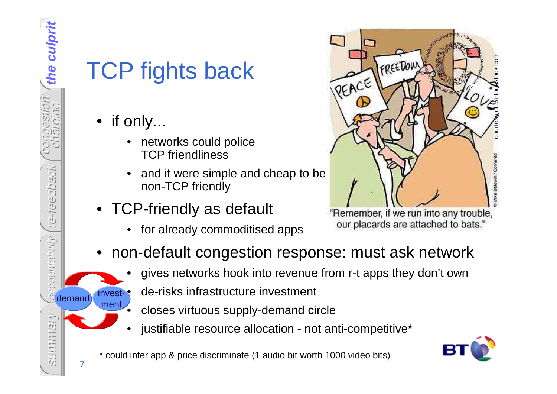7

invest-•ment

•

# TCP fights back

- if only...
	- • networks could police TCP friendliness
	- • and it were simple and cheap to be non-TCP friendly
- TCP-friendly as default
	- •for already commoditised apps



our placards are attached to bats.'

- • non-default congestion response: must ask network
	- •gives networks hook into revenue from r-t apps they don't own
	- de-risks infrastructure investment
		- closes virtuous supply-demand circle
	- •justifiable resource allocation - not anti-competitive\*

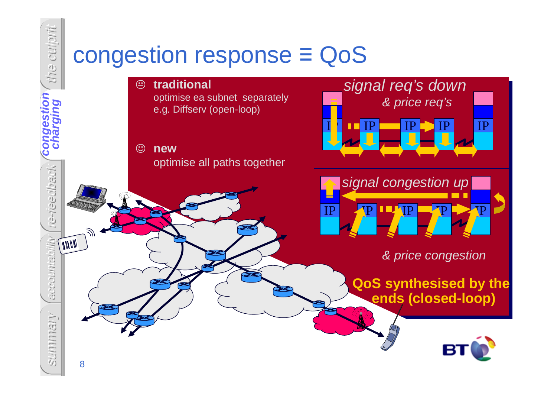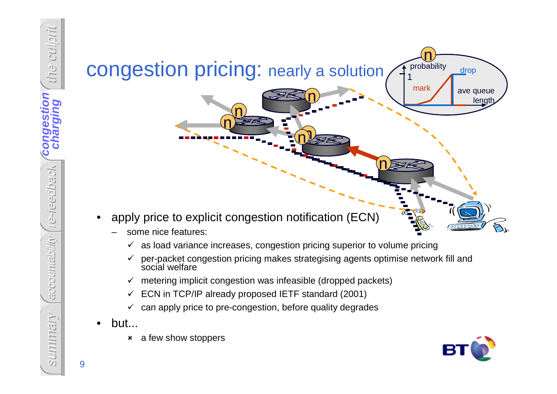

- some nice features:
	- $\checkmark$  as load variance increases, congestion pricing superior to volume pricing
	- $\checkmark$  per-packet congestion pricing makes strategising agents optimise network fill and social welfare social welfare
	- $\checkmark$  metering implicit congestion was infeasible (dropped packets)  $\checkmark$
	- $\checkmark$ ECN in TCP/IP already proposed IETF standard (2001)
	- $\checkmark$  can apply price to pre-congestion, before quality degrades
- • but...
	- $\pmb{\times}$ a few show stoppers

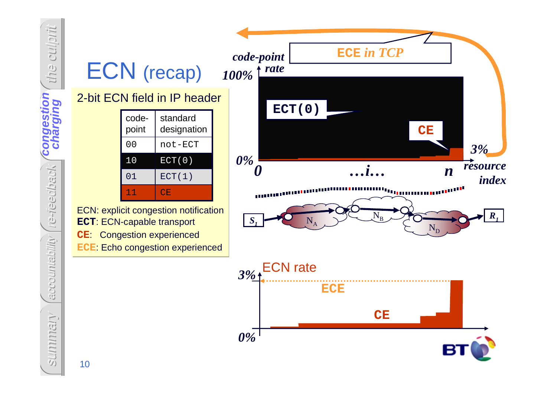

**congestion** congestion We-rieedback re-reedback accountability accountability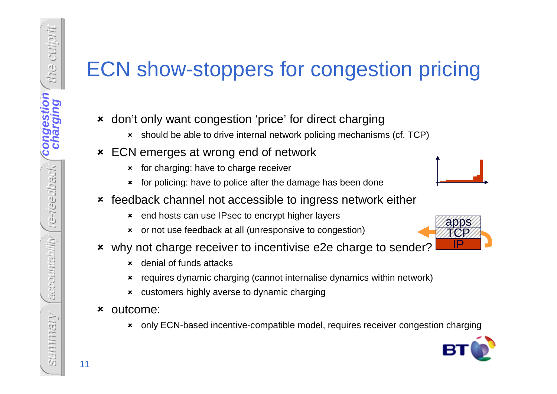# ECN show-stoppers for congestion pricing

- don't only want congestion 'price' for direct charging
	- should be able to drive internal network policing mechanisms (cf. TCP)
- ECN emerges at wrong end of network
	- $\boldsymbol{\mathsf{x}}$ for charging: have to charge receiver
	- $\boldsymbol{\mathsf{x}}$ for policing: have to police after the damage has been done
- feedback channel not accessible to ingress network either
	- end hosts can use IPsec to encrypt higher layers
	- or not use feedback at all (unresponsive to congestion)
- why not charge receiver to incentivise e2e charge to sender?
	- $\mathbf{x}$ denial of funds attacks
	- $\boldsymbol{\mathsf{x}}$ requires dynamic charging (cannot internalise dynamics within network)
	- customers highly averse to dynamic charging
- outcome:
	- $\pmb{\times}$ only ECN-based incentive-compatible model, requires receiver congestion charging



summary<br>11<br>11<br>11

the culprit

congestion charging **charging**

**congestion**

re-reedback

Ve-tieedback

accountability

accountability

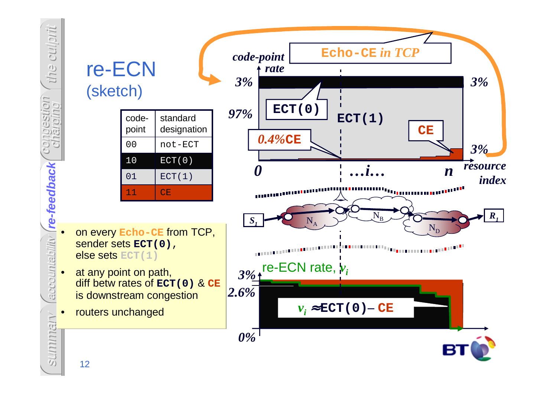

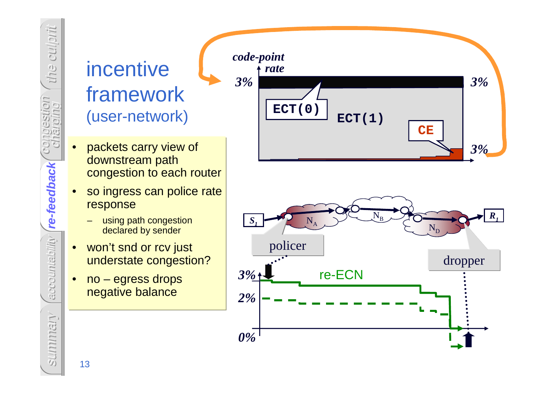## incentive framework(user-network)

the culprit

congestion

**CO** 

CSWOIN

re--feedback

**re-feedback**

re-feedback

accountability

accountability

charging

- • packets carry view of downstream path congestion to each router
- • so ingress can police rate response
	- using path congestion declared by sender
- • won't snd or rcv just understate congestion?
- • no – egress drops negative balance



summary 13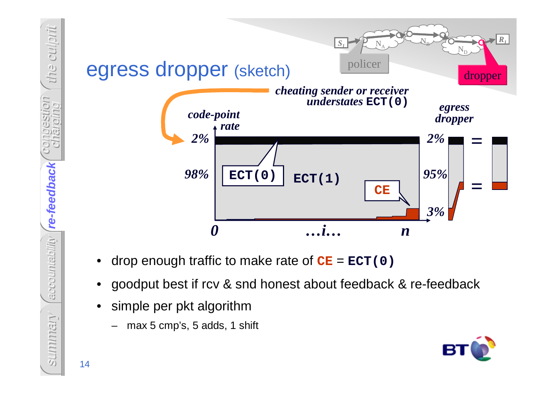

- •drop enough traffic to make rate of **CE** <sup>=</sup>**ECT(0)**
- •goodput best if rcv & snd honest about feedback & re-feedback
- • simple per pkt algorithm
	- max 5 cmp's, 5 adds, 1 shift –



summary<br>14

the culprit

congestion charging

cstilon

re--feedback

accountability (re-feedback

**re-feedback**

accountability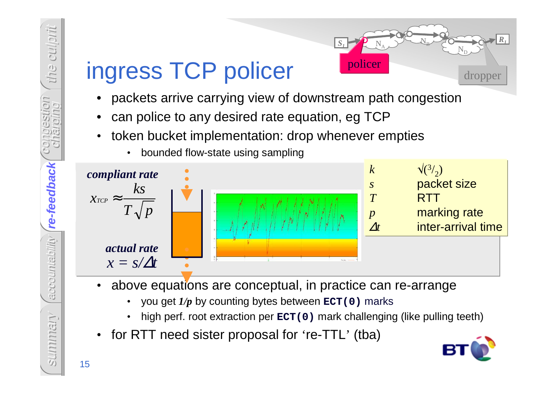

# ingress TCP policer

•

- •packets arrive carrying view of downstream path congestion
- •can police to any desired rate equation, eg TCP
- token bucket implementation: drop whenever empties•



- • above equations are conceptual, in practice can re-arrange
	- •you get *1/p* by counting bytes between **ECT(0)** marks
	- •high perf. root extraction per **ECT(0)** mark challenging (like pulling teeth)
- •for RTT need sister proposal for 're-TTL' (tba)

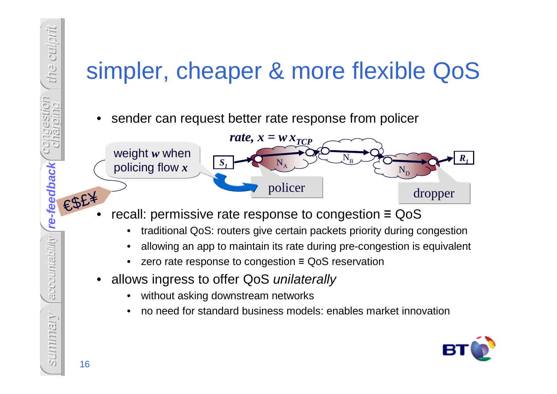# simpler, cheaper & more flexible QoS

•sender can request better rate response from policer



- • recall: permissive rate response to congestion ≡ QoS
	- traditional QoS: routers give certain packets priority during congestion•
	- allowing an app to maintain its rate during pre-congestion is equivalent •
	- •zero rate response to congestion ≡ QoS reservation
- • allows ingress to offer QoS unilaterally
	- •without asking downstream networks
	- •no need for standard business models: enables market innovation



the culprit

congestion charging

LION<sub>1</sub>

re--feedback

accountability (re-feedback

**re-feedback**

accountability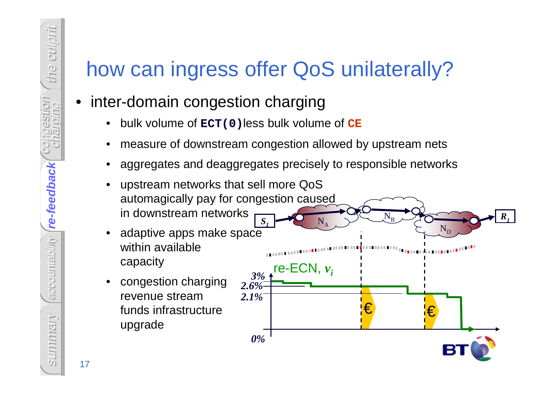# how can ingress offer QoS unilaterally?

#### •inter-domain congestion charging

- $\bullet$ bulk volume of **ECT(0)**less bulk volume of **CE**
- •measure of downstream congestion allowed by upstream nets
- •aggregates and deaggregates precisely to responsible networks
- • upstream networks that sell more QoS automagically pay for congestion caused in downstream networks $\bf N$ B*<sup>R</sup>1*
- $\bullet$  adaptive apps make space within available capacity
- $\bullet$  congestion charging revenue stream funds infrastructure upgrade



accountability (re-feedback **re-feedback**re--feedback accountability summary<br>17<br>17

the culprit

congestion charging

stion?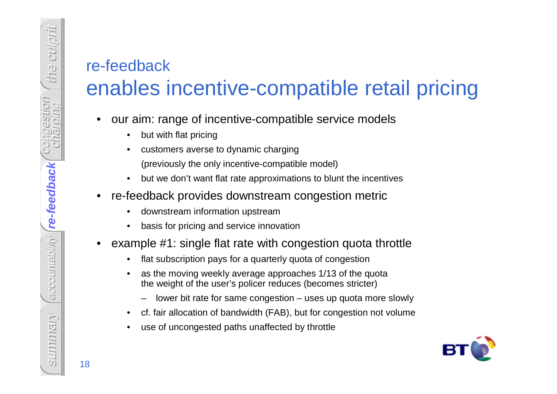#### re-feedback enables incentive-compatible retail pricing

- • our aim: range of incentive-compatible service models
	- •but with flat pricing
	- • customers averse to dynamic charging(previously the only incentive-compatible model)
	- $\bullet$ but we don't want flat rate approximations to blunt the incentives
- • re-feedback provides downstream congestion metric
	- •downstream information upstream
	- basis for pricing and service innovation•
- • example #1: single flat rate with congestion quota throttle
	- •flat subscription pays for a quarterly quota of congestion
	- • as the moving weekly average approaches 1/13 of the quotathe weight of the user's policer reduces (becomes stricter)
		- –lower bit rate for same congestion – uses up quota more slowly
	- •cf. fair allocation of bandwidth (FAB), but for congestion not volume
	- •use of uncongested paths unaffected by throttle

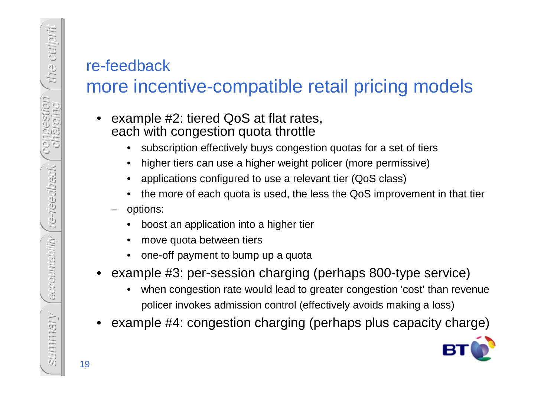#### re-feedback

the culprit

congestion ngestion<br>Inaroling

CO

re-reedback

ve-rieedback

accountability

accountability

## more incentive-compatible retail pricing models

- • example #2: tiered QoS at flat rates, each with congestion quota throttle
	- subscription effectively buys congestion quotas for a set of tiers•
	- •higher tiers can use a higher weight policer (more permissive)
	- •applications configured to use a relevant tier (QoS class)
	- the more of each quota is used, the less the QoS improvement in that tier
	- – options:
		- •boost an application into a higher tier
		- •move quota between tiers
		- •one-off payment to bump up a quota
- • example #3: per-session charging (perhaps 800-type service)
	- • when congestion rate would lead to greater congestion 'cost' than revenuepolicer invokes admission control (effectively avoids making a loss)
- •example #4: congestion charging (perhaps plus capacity charge)

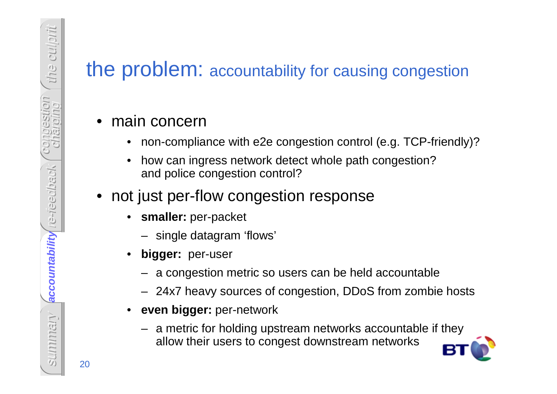#### the problem: accountability for causing congestion

#### • main concern

- •non-compliance with e2e congestion control (e.g. TCP-friendly)?
- • how can ingress network detect whole path congestion? and police congestion control?
- not just per-flow congestion response
	- • **smaller:** per-packet
		- single datagram 'flows'
	- • **bigger:** per-user
		- a congestion metric so users can be held accountable
		- 24x7 heavy sources of congestion, DDoS from zombie hosts
	- • **even bigger:** per-network
		- a metric for holding upstream networks accountable if they allow their users to congest downstream networks

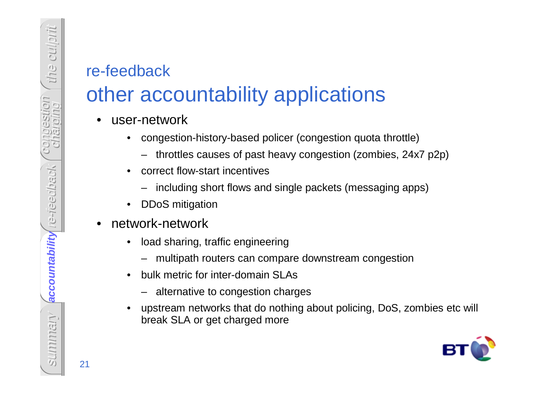#### re-feedback

# other accountability applications

- • user-network
	- • congestion-history-based policer (congestion quota throttle)
		- throttles causes of past heavy congestion (zombies, 24x7 p2p)
	- • correct flow-start incentives
		- including short flows and single packets (messaging apps)
	- $\bullet$ DDoS mitigation
- • network-network
	- • load sharing, traffic engineering
		- multipath routers can compare downstream congestion
	- • bulk metric for inter-domain SLAs
		- alternative to congestion charges
	- • upstream networks that do nothing about policing, DoS, zombies etc will break SLA or get charged more



accountability re-reedback **accountability**accountability summary<br>21<br>21

the culprit

congestion congestion

re-reedback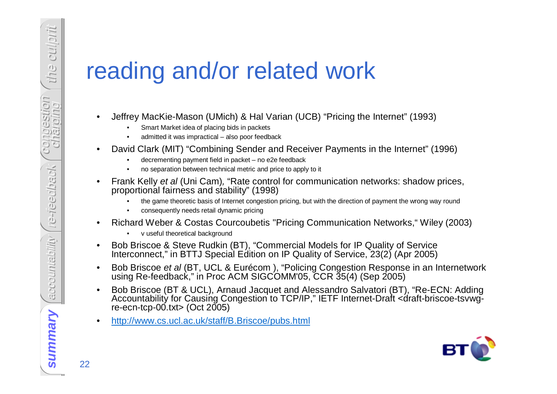# reading and/or related work

- • Jeffrey MacKie-Mason (UMich) & Hal Varian (UCB) "Pricing the Internet" (1993)
	- •Smart Market idea of placing bids in packets
	- admitted it was impractical also poor feedback•
- • David Clark (MIT) "Combining Sender and Receiver Payments in the Internet" (1996)
	- decrementing payment field in packet no e2e feedback
	- no separation between technical metric and price to apply to it •
- • Frank Kelly et al (Uni Cam), "Rate control for communication networks: shadow prices, proportional fairness and stability" (1998)
	- the game theoretic basis of Internet congestion pricing, but with the direction of payment the wrong way round •
	- •consequently needs retail dynamic pricing
- • Richard Weber & Costas Courcoubetis "Pricing Communication Networks," Wiley (2003)
	- •v useful theoretical background

•

- • Bob Briscoe & Steve Rudkin (BT), "Commercial Models for IP Quality of Service Interconnect," in BTTJ Special Edition on IP Quality of Service, 23(2) (Apr 2005)
- • Bob Briscoe et al (BT, UCL & Eurécom ), "Policing Congestion Response in an Internetwork using Re-feedback," in Proc ACM SIGCOMM'05, CCR 35(4) (Sep 2005)
- $\bullet$ Bob Briscoe (BT & UCL), Arnaud Jacquet and Alessandro Salvatori (BT), "Re-ECN: Adding Accountability for Causing Congestion to TCP/IP," IETF Internet-Draft <draft-briscoe-tsvwgre-ecn-tcp-00.txt $>$  (Oct 2005)
- •http://www.cs.ucl.ac.uk/staff/B.Briscoe/pubs.html



the culprit

congestion congestion<br>charging

re-reedback

**Ne-rieedback** 

accountability

eccountability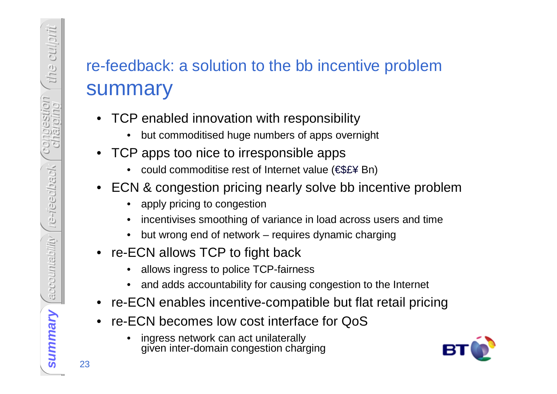## re-feedback: a solution to the bb incentive problemsummary

- TCP enabled innovation with responsibility
	- but commoditised huge numbers of apps overnight •
- TCP apps too nice to irresponsible apps
	- could commoditise rest of Internet value (€\$£¥ Bn)
- ECN & congestion pricing nearly solve bb incentive problem
	- $\bullet$ apply pricing to congestion
	- •incentivises smoothing of variance in load across users and time
	- •but wrong end of network – requires dynamic charging
- re-ECN allows TCP to fight back
	- allows ingress to police TCP-fairness•
	- •and adds accountability for causing congestion to the Internet
- re-ECN enables incentive-compatible but flat retail pricing
- • re-ECN becomes low cost interface for QoS
	- • ingress network can act unilaterally given inter-domain congestion charging

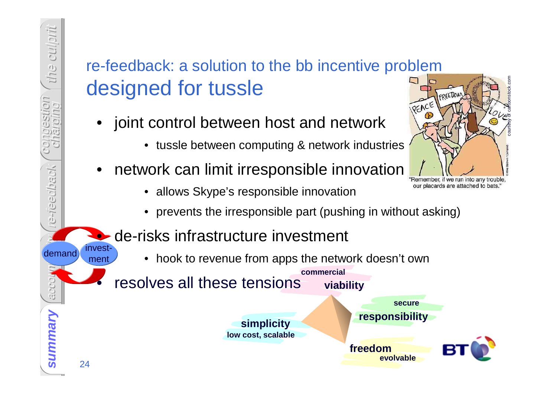#### re-feedback: a solution to the bb incentive problemdesigned for tussle

•joint control between host and network

the culprit

congestion charging

**LIO** 

re-reedback

e-reedback

account a

 $\bullet$ 

•

- tussle between computing & network industries
- • network can limit irresponsible innovation
	- allows Skype's responsible innovation
	- prevents the irresponsible part (pushing in without asking)

#### de-risks infrastructure investment

• hook to revenue from apps the network doesn't own

resolves all these tensions



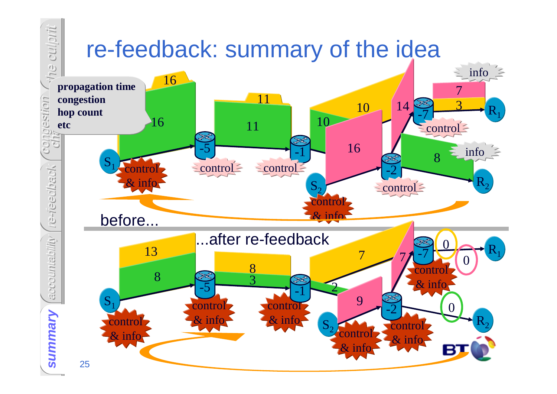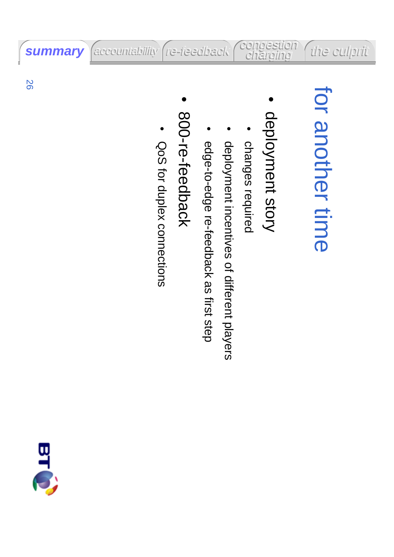# for another time for another time

• deployment story deployment story

congestion charging

- •changes required changes required
- •deployment incentives of different players deployment incentives of different players
- •edge-to-edge re-feedback as first step edge-to-edge re-feedback as first step
- • 800-re-feedback 800-re-feedback
- •QoS for duplex connections for duplex connections

accountability (re-feedback



**summary**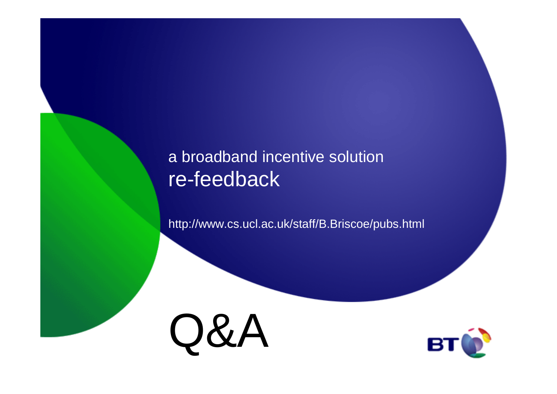#### a broadband incentive solution re-feedback

http://www.cs.ucl.ac.uk/staff/B.Briscoe/pubs.html



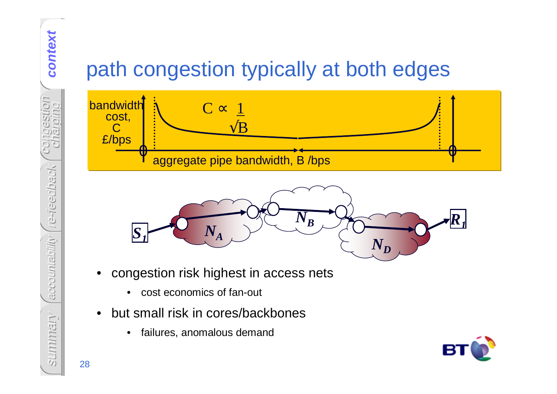## path congestion typically at both edges





- • congestion risk highest in access nets
	- •cost economics of fan-out
- • but small risk in cores/backbones
	- $\bullet$ failures, anomalous demand